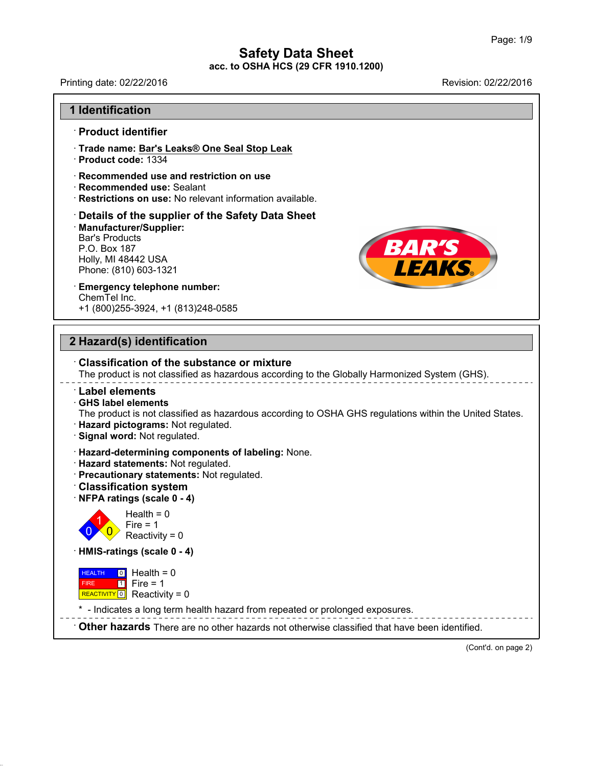Printing date: 02/22/2016 **Revision: 02/22/2016** 

**BAR'S<br>LEAKS** 

#### **1 Identification**

#### · **Product identifier**

· **Trade name: Bar's Leaks® One Seal Stop Leak**

- · **Product code:** 1334
- · **Recommended use and restriction on use**
- · **Recommended use:** Sealant
- · **Restrictions on use:** No relevant information available.

## · **Details of the supplier of the Safety Data Sheet** • **Details of the supplier of the Safe**<br>• **Manufacturer/Supplier:**<br>Bar's Products<br>P.O. Box 187<br>Holly, MI 48442 USA<br>Phone: (810) 603-1321<br>• **Emergency telephone number:** · **Manufacturer/Supplier:** Recommended use: Se<br>Restrictions on use: No<br>Details of the supplic<br>Manufacturer/Supplier:<br>Bar's Products<br>P.O. Box 187<br>Holly ML48442 LISA Restrictions on use: No rel<br>Details of the supplier o<br>Manufacturer/Supplier:<br>Bar's Products<br>P.O. Box 187<br>Holly, MI 48442 USA<br>Phone: (810) 603-1321 **Details of the supplier of the 9<br>Manufacturer/Supplier:**<br>Bar's Products<br>P.O. Box 187<br>Holly, MI 48442 USA<br>Phone: (810) 603-1321

# ChemTel Inc.

+1 (800)255-3924, +1 (813)248-0585

## **2 Hazard(s) identification**

42.0.18

|                              | $\cdot$ Classification of the substance or mixture<br>The product is not classified as hazardous according to the Globally Harmonized System (GHS).                                                          |
|------------------------------|--------------------------------------------------------------------------------------------------------------------------------------------------------------------------------------------------------------|
| <b>Label elements</b>        | $\cdot$ GHS label elements<br>The product is not classified as hazardous according to OSHA GHS regulations within the United States.<br>· Hazard pictograms: Not regulated.<br>· Signal word: Not regulated. |
|                              | · Hazard-determining components of labeling: None.<br>· Hazard statements: Not regulated.<br>· Precautionary statements: Not regulated.<br><b>Classification system</b><br>NFPA ratings (scale 0 - 4)        |
|                              | Health = $0$<br>Fire $= 1$<br>Reactivity = $0$                                                                                                                                                               |
|                              | · HMIS-ratings (scale 0 - 4)                                                                                                                                                                                 |
| <b>HEALTH</b><br><b>FIRE</b> | $\boxed{0}$ Health = 0<br>$\boxed{1}$ Fire = 1<br>REACTIVITY 0 Reactivity = 0                                                                                                                                |
|                              | * - Indicates a long term health hazard from repeated or prolonged exposures.                                                                                                                                |
|                              | $\cdot$ Other hazards There are no other hazards not otherwise classified that have been identified.                                                                                                         |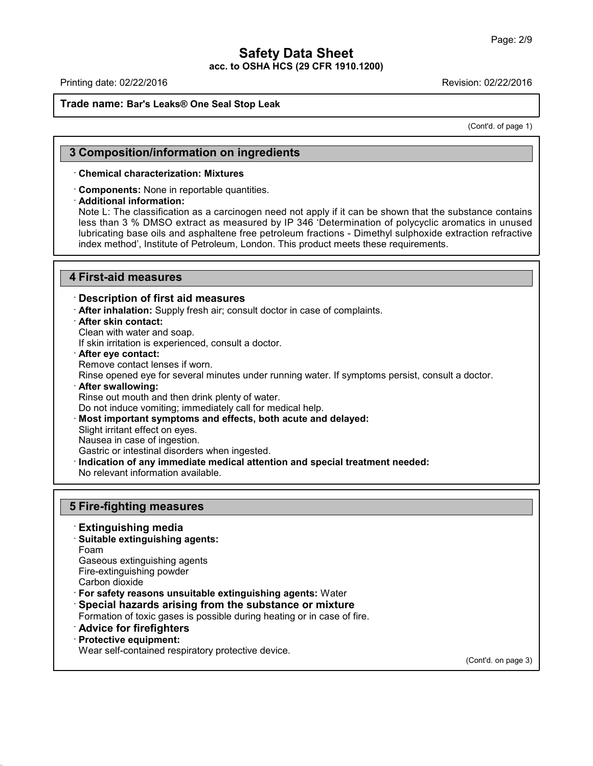Printing date: 02/22/2016 Revision: 02/22/2016

#### **Trade name: Bar's Leaks® One Seal Stop Leak**

(Cont'd. of page 1)

#### **3 Composition/information on ingredients**

#### · **Chemical characterization: Mixtures**

· **Components:** None in reportable quantities.

#### · **Additional information:**

Note L: The classification as a carcinogen need not apply if it can be shown that the substance contains less than 3 % DMSO extract as measured by IP 346 'Determination of polycyclic aromatics in unused lubricating base oils and asphaltene free petroleum fractions - Dimethyl sulphoxide extraction refractive index method', Institute of Petroleum, London. This product meets these requirements.

#### **4 First-aid measures**

#### · **Description of first aid measures**

· **After inhalation:** Supply fresh air; consult doctor in case of complaints.

· **After skin contact:**

Clean with water and soap.

If skin irritation is experienced, consult a doctor.

- · **After eye contact:**
- Remove contact lenses if worn.

Rinse opened eye for several minutes under running water. If symptoms persist, consult a doctor.

· **After swallowing:**

Rinse out mouth and then drink plenty of water.

Do not induce vomiting; immediately call for medical help.

· **Most important symptoms and effects, both acute and delayed:**

Slight irritant effect on eyes.

Nausea in case of ingestion.

Gastric or intestinal disorders when ingested.

· **Indication of any immediate medical attention and special treatment needed:**

No relevant information available.

#### **5 Fire-fighting measures**

- · **Extinguishing media** · **Suitable extinguishing agents:** Foam Gaseous extinguishing agents Fire-extinguishing powder Carbon dioxide · **For safety reasons unsuitable extinguishing agents:** Water · **Special hazards arising from the substance or mixture** Formation of toxic gases is possible during heating or in case of fire.
- · **Advice for firefighters**

#### · **Protective equipment:**

42.0.18

Wear self-contained respiratory protective device.

(Cont'd. on page 3)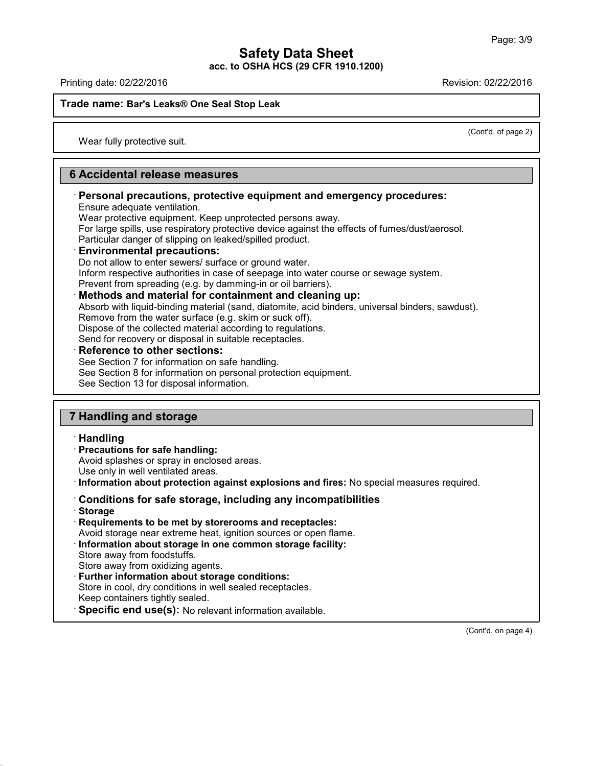Printing date: 02/22/2016 Revision: 02/22/2016

**Trade name: Bar's Leaks® One Seal Stop Leak**

(Cont'd. of page 2)

Wear fully protective suit.

### **6 Accidental release measures**

## · **Personal precautions, protective equipment and emergency procedures:**

Ensure adequate ventilation.

Wear protective equipment. Keep unprotected persons away.

For large spills, use respiratory protective device against the effects of fumes/dust/aerosol.

Particular danger of slipping on leaked/spilled product.

### · **Environmental precautions:**

Do not allow to enter sewers/ surface or ground water.

Inform respective authorities in case of seepage into water course or sewage system.

Prevent from spreading (e.g. by damming-in or oil barriers).

· **Methods and material for containment and cleaning up:**

Absorb with liquid-binding material (sand, diatomite, acid binders, universal binders, sawdust). Remove from the water surface (e.g. skim or suck off).

Dispose of the collected material according to regulations.

Send for recovery or disposal in suitable receptacles.

#### · **Reference to other sections:**

See Section 7 for information on safe handling.

See Section 8 for information on personal protection equipment.

See Section 13 for disposal information.

## **7 Handling and storage**

#### · **Handling**

- · **Precautions for safe handling:** Avoid splashes or spray in enclosed areas. Use only in well ventilated areas.
- · **Information about protection against explosions and fires:** No special measures required.

## · **Conditions for safe storage, including any incompatibilities**

· **Storage**

42.0.18

· **Requirements to be met by storerooms and receptacles:**

Avoid storage near extreme heat, ignition sources or open flame.

- · **Information about storage in one common storage facility:** Store away from foodstuffs. Store away from oxidizing agents.
- · **Further information about storage conditions:** Store in cool, dry conditions in well sealed receptacles. Keep containers tightly sealed.
- · **Specific end use(s):** No relevant information available.

(Cont'd. on page 4)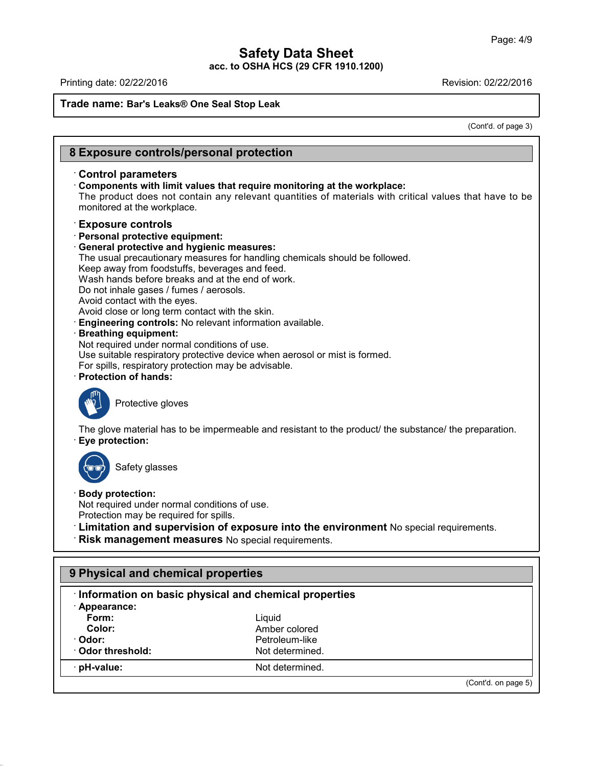## **Safety Data Sheet**

**acc. to OSHA HCS (29 CFR 1910.1200)**

Printing date: 02/22/2016 **Revision: 02/22/2016** 

42.0.18

## **Trade name: Bar's Leaks® One Seal Stop Leak**

(Cont'd. of page 3)

| <b>Control parameters</b>                                                                                         | Components with limit values that require monitoring at the workplace:                                                                      |
|-------------------------------------------------------------------------------------------------------------------|---------------------------------------------------------------------------------------------------------------------------------------------|
|                                                                                                                   | The product does not contain any relevant quantities of materials with critical values that have to be                                      |
| monitored at the workplace.                                                                                       |                                                                                                                                             |
|                                                                                                                   |                                                                                                                                             |
| <b>Exposure controls</b>                                                                                          |                                                                                                                                             |
| · Personal protective equipment:                                                                                  |                                                                                                                                             |
| · General protective and hygienic measures:                                                                       |                                                                                                                                             |
|                                                                                                                   | The usual precautionary measures for handling chemicals should be followed.                                                                 |
| Keep away from foodstuffs, beverages and feed.                                                                    |                                                                                                                                             |
| Wash hands before breaks and at the end of work.                                                                  |                                                                                                                                             |
| Do not inhale gases / fumes / aerosols.                                                                           |                                                                                                                                             |
| Avoid contact with the eyes.<br>Avoid close or long term contact with the skin.                                   |                                                                                                                                             |
| Engineering controls: No relevant information available.                                                          |                                                                                                                                             |
| <b>Breathing equipment:</b>                                                                                       |                                                                                                                                             |
| Not required under normal conditions of use.                                                                      |                                                                                                                                             |
|                                                                                                                   | Use suitable respiratory protective device when aerosol or mist is formed.                                                                  |
| For spills, respiratory protection may be advisable.                                                              |                                                                                                                                             |
| <b>Protection of hands:</b>                                                                                       |                                                                                                                                             |
| Protective gloves<br>Eye protection:                                                                              | The glove material has to be impermeable and resistant to the product/ the substance/ the preparation.                                      |
| Safety glasses                                                                                                    |                                                                                                                                             |
| <b>Body protection:</b><br>Not required under normal conditions of use.<br>Protection may be required for spills. | · Limitation and supervision of exposure into the environment No special requirements.<br>Risk management measures No special requirements. |
| 9 Physical and chemical properties                                                                                |                                                                                                                                             |
|                                                                                                                   | Information on basic physical and chemical properties                                                                                       |
| · Appearance:                                                                                                     |                                                                                                                                             |
| Form:                                                                                                             | Liquid                                                                                                                                      |
| Color:                                                                                                            | Amber colored                                                                                                                               |
| · Odor:                                                                                                           | Petroleum-like                                                                                                                              |
|                                                                                                                   | Not determined.                                                                                                                             |
| Odor threshold:                                                                                                   |                                                                                                                                             |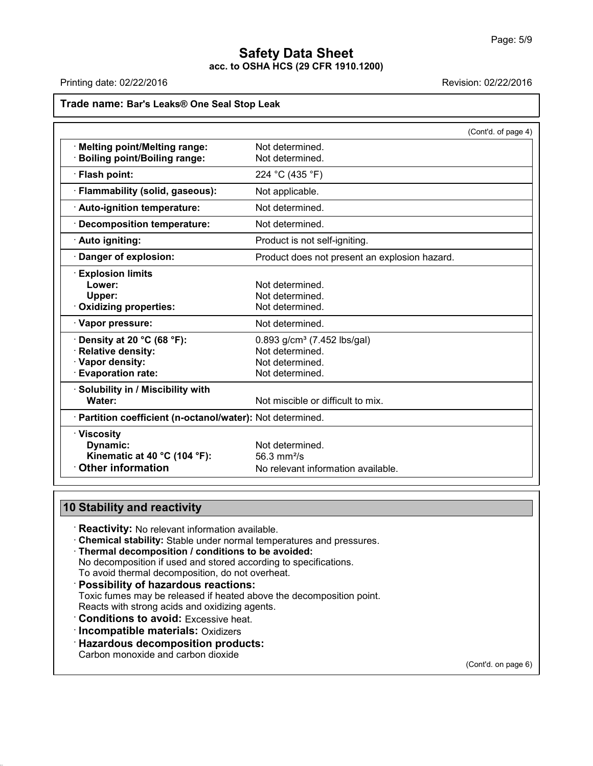$4)$ 

### **Safety Data Sheet acc. to OSHA HCS (29 CFR 1910.1200)**

Printing date: 02/22/2016 **Revision: 02/22/2016** Revision: 02/22/2016

| Trade name: Bar's Leaks® One Seal Stop Leak                                                           |                                                                                                    |                  |  |  |
|-------------------------------------------------------------------------------------------------------|----------------------------------------------------------------------------------------------------|------------------|--|--|
|                                                                                                       |                                                                                                    | (Cont'd. of page |  |  |
| <b>Melting point/Melting range:</b><br><b>Boiling point/Boiling range:</b>                            | Not determined.<br>Not determined.                                                                 |                  |  |  |
| · Flash point:                                                                                        | 224 °C (435 °F)                                                                                    |                  |  |  |
| · Flammability (solid, gaseous):                                                                      | Not applicable.                                                                                    |                  |  |  |
| · Auto-ignition temperature:                                                                          | Not determined.                                                                                    |                  |  |  |
| <b>Decomposition temperature:</b>                                                                     | Not determined.                                                                                    |                  |  |  |
| · Auto igniting:                                                                                      | Product is not self-igniting.                                                                      |                  |  |  |
| Danger of explosion:                                                                                  | Product does not present an explosion hazard.                                                      |                  |  |  |
| <b>Explosion limits</b><br>Lower:<br>Upper:<br>Oxidizing properties:                                  | Not determined.<br>Not determined.<br>Not determined.                                              |                  |  |  |
| · Vapor pressure:                                                                                     | Not determined.                                                                                    |                  |  |  |
| Density at 20 °C (68 °F):<br><b>Relative density:</b><br>· Vapor density:<br><b>Evaporation rate:</b> | $0.893$ g/cm <sup>3</sup> (7.452 lbs/gal)<br>Not determined.<br>Not determined.<br>Not determined. |                  |  |  |
| · Solubility in / Miscibility with<br>Water:                                                          | Not miscible or difficult to mix.                                                                  |                  |  |  |
| · Partition coefficient (n-octanol/water): Not determined.                                            |                                                                                                    |                  |  |  |
| · Viscosity<br>Dynamic:<br>Kinematic at 40 °C (104 °F):<br><b>Other information</b>                   | Not determined.<br>56.3 mm <sup>2</sup> /s                                                         |                  |  |  |
|                                                                                                       | No relevant information available.                                                                 |                  |  |  |

## **10 Stability and reactivity**

· **Reactivity:** No relevant information available.

· **Chemical stability:** Stable under normal temperatures and pressures.

#### · **Thermal decomposition / conditions to be avoided:**

No decomposition if used and stored according to specifications.

- To avoid thermal decomposition, do not overheat.
- · **Possibility of hazardous reactions:**

Toxic fumes may be released if heated above the decomposition point.

Reacts with strong acids and oxidizing agents.

· **Conditions to avoid:** Excessive heat.

· **Incompatible materials:** Oxidizers

· **Hazardous decomposition products:**

Carbon monoxide and carbon dioxide

42.0.18

(Cont'd. on page 6)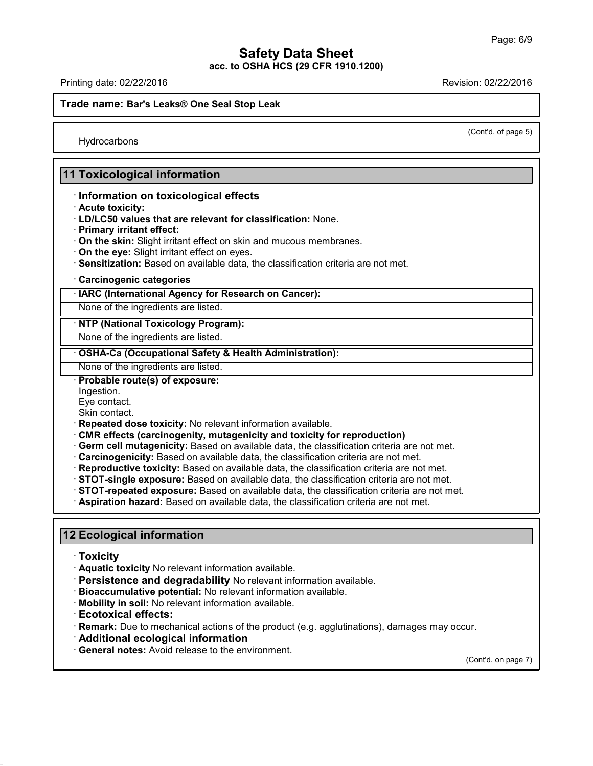## **Safety Data Sheet**

**acc. to OSHA HCS (29 CFR 1910.1200)**

Printing date: 02/22/2016 Revision: 02/22/2016

**Trade name: Bar's Leaks® One Seal Stop Leak**

(Cont'd. of page 5)

**Hydrocarbons** 

## **11 Toxicological information**

#### · **Information on toxicological effects**

- · **Acute toxicity:**
- · **LD/LC50 values that are relevant for classification:** None.
- · **Primary irritant effect:**
- · **On the skin:** Slight irritant effect on skin and mucous membranes.
- · **On the eye:** Slight irritant effect on eyes.
- · **Sensitization:** Based on available data, the classification criteria are not met.

#### · **Carcinogenic categories**

#### · **IARC (International Agency for Research on Cancer):**

None of the ingredients are listed.

#### · **NTP (National Toxicology Program):**

None of the ingredients are listed.

#### · **OSHA-Ca (Occupational Safety & Health Administration):**

None of the ingredients are listed.

· **Probable route(s) of exposure:**

Ingestion.

Eye contact.

Skin contact.

- · **Repeated dose toxicity:** No relevant information available.
- · **CMR effects (carcinogenity, mutagenicity and toxicity for reproduction)**
- · **Germ cell mutagenicity:** Based on available data, the classification criteria are not met.
- · **Carcinogenicity:** Based on available data, the classification criteria are not met.
- · **Reproductive toxicity:** Based on available data, the classification criteria are not met.
- · **STOT-single exposure:** Based on available data, the classification criteria are not met.
- · **STOT-repeated exposure:** Based on available data, the classification criteria are not met.
- · **Aspiration hazard:** Based on available data, the classification criteria are not met.

## **12 Ecological information**

· **Toxicity**

42.0.18

- · **Aquatic toxicity** No relevant information available.
- · **Persistence and degradability** No relevant information available.
- · **Bioaccumulative potential:** No relevant information available.
- · **Mobility in soil:** No relevant information available.
- · **Ecotoxical effects:**
- · **Remark:** Due to mechanical actions of the product (e.g. agglutinations), damages may occur.
- · **Additional ecological information**
- · **General notes:** Avoid release to the environment.

(Cont'd. on page 7)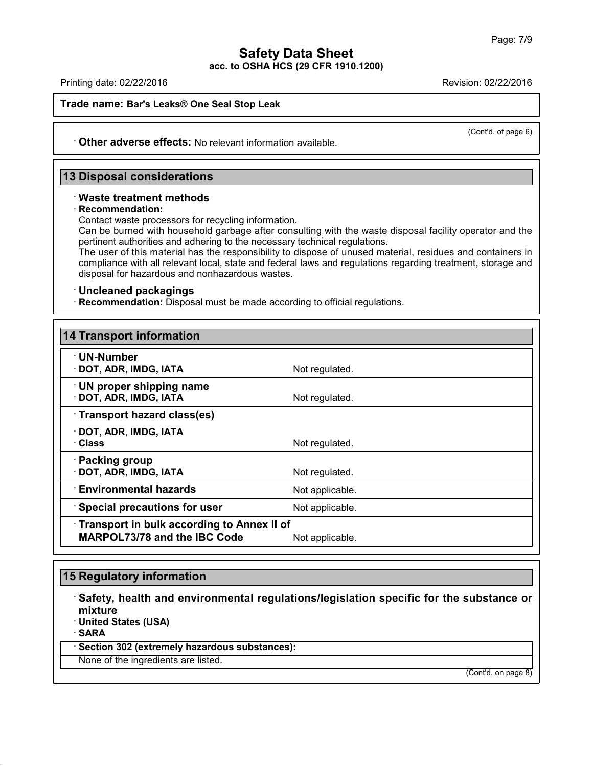Printing date: 02/22/2016 Revision: 02/22/2016

**Trade name: Bar's Leaks® One Seal Stop Leak**

(Cont'd. of page 6)

· **Other adverse effects:** No relevant information available.

### **13 Disposal considerations**

#### · **Waste treatment methods**

#### · **Recommendation:**

Contact waste processors for recycling information.

Can be burned with household garbage after consulting with the waste disposal facility operator and the pertinent authorities and adhering to the necessary technical regulations.

The user of this material has the responsibility to dispose of unused material, residues and containers in compliance with all relevant local, state and federal laws and regulations regarding treatment, storage and disposal for hazardous and nonhazardous wastes.

#### · **Uncleaned packagings**

· **Recommendation:** Disposal must be made according to official regulations.

| <b>14 Transport information</b>                                            |                 |  |  |  |
|----------------------------------------------------------------------------|-----------------|--|--|--|
| $\cdot$ UN-Number<br>· DOT, ADR, IMDG, IATA                                | Not regulated.  |  |  |  |
| $\cdot$ UN proper shipping name<br>· DOT, ADR, IMDG, IATA                  | Not regulated.  |  |  |  |
| Transport hazard class(es)                                                 |                 |  |  |  |
| · DOT, ADR, IMDG, IATA<br>· Class                                          | Not regulated.  |  |  |  |
| · Packing group<br>· DOT, ADR, IMDG, IATA                                  | Not regulated.  |  |  |  |
| $^{\cdot}$ Environmental hazards                                           | Not applicable. |  |  |  |
| <b>Special precautions for user</b>                                        | Not applicable. |  |  |  |
| Transport in bulk according to Annex II of<br>MARPOL73/78 and the IBC Code | Not applicable. |  |  |  |

### **15 Regulatory information**

· **Safety, health and environmental regulations/legislation specific for the substance or mixture**

· **United States (USA)**

· **SARA**

42.0.18

· **Section 302 (extremely hazardous substances):**

None of the ingredients are listed.

(Cont'd. on page 8)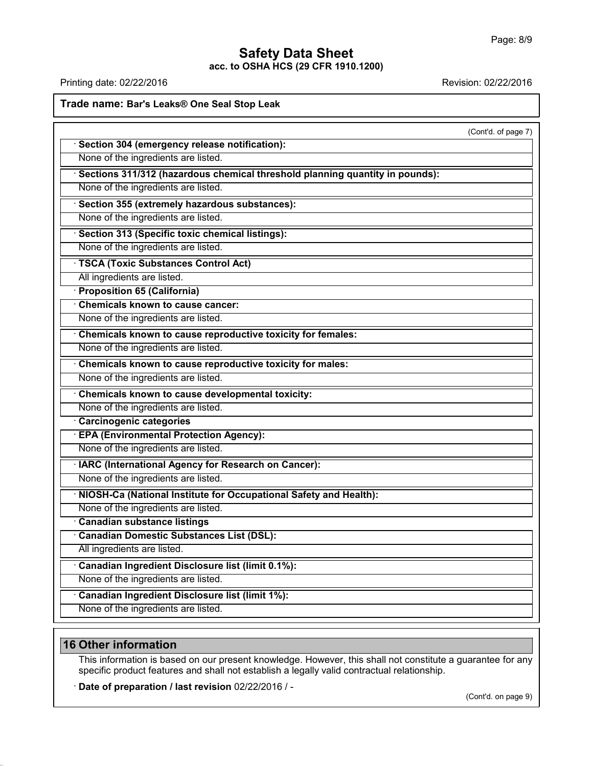## **Safety Data Sheet**

**acc. to OSHA HCS (29 CFR 1910.1200)**

Printing date: 02/22/2016 **Revision: 02/22/2016** 

**Trade name: Bar's Leaks® One Seal Stop Leak**

|                                                                                | (Cont'd. of page 7) |
|--------------------------------------------------------------------------------|---------------------|
| · Section 304 (emergency release notification):                                |                     |
| None of the ingredients are listed.                                            |                     |
| · Sections 311/312 (hazardous chemical threshold planning quantity in pounds): |                     |
| None of the ingredients are listed.                                            |                     |
| · Section 355 (extremely hazardous substances):                                |                     |
| None of the ingredients are listed.                                            |                     |
| · Section 313 (Specific toxic chemical listings):                              |                     |
| None of the ingredients are listed.                                            |                     |
| <b>TSCA (Toxic Substances Control Act)</b>                                     |                     |
| All ingredients are listed.                                                    |                     |
| · Proposition 65 (California)                                                  |                     |
| Chemicals known to cause cancer:                                               |                     |
| None of the ingredients are listed.                                            |                     |
| Chemicals known to cause reproductive toxicity for females:                    |                     |
| None of the ingredients are listed.                                            |                     |
| Chemicals known to cause reproductive toxicity for males:                      |                     |
| None of the ingredients are listed.                                            |                     |
| Chemicals known to cause developmental toxicity:                               |                     |
| None of the ingredients are listed.                                            |                     |
| Carcinogenic categories                                                        |                     |
| · EPA (Environmental Protection Agency):                                       |                     |
| None of the ingredients are listed.                                            |                     |
| · IARC (International Agency for Research on Cancer):                          |                     |
| None of the ingredients are listed.                                            |                     |
| · NIOSH-Ca (National Institute for Occupational Safety and Health):            |                     |
| None of the ingredients are listed.                                            |                     |
| · Canadian substance listings                                                  |                     |
| Canadian Domestic Substances List (DSL):                                       |                     |
| All ingredients are listed.                                                    |                     |
| Canadian Ingredient Disclosure list (limit 0.1%):                              |                     |
| None of the ingredients are listed.                                            |                     |
| Canadian Ingredient Disclosure list (limit 1%):                                |                     |
| None of the ingredients are listed.                                            |                     |
|                                                                                |                     |

## **16 Other information**

42.0.18

This information is based on our present knowledge. However, this shall not constitute a guarantee for any specific product features and shall not establish a legally valid contractual relationship.

· **Date of preparation / last revision** 02/22/2016 / -

(Cont'd. on page 9)